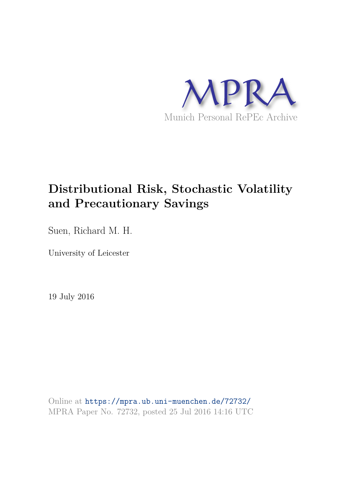

# **Distributional Risk, Stochastic Volatility and Precautionary Savings**

Suen, Richard M. H.

University of Leicester

19 July 2016

Online at https://mpra.ub.uni-muenchen.de/72732/ MPRA Paper No. 72732, posted 25 Jul 2016 14:16 UTC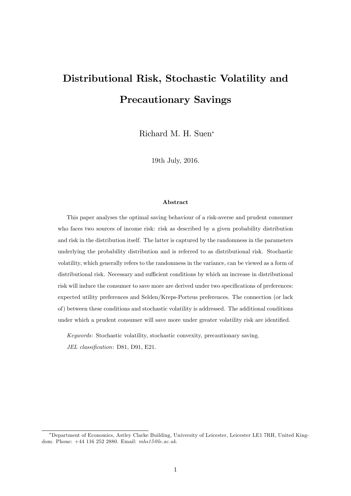# Distributional Risk, Stochastic Volatility and Precautionary Savings

Richard M. H. Suen

19th July, 2016.

#### Abstract

This paper analyses the optimal saving behaviour of a risk-averse and prudent consumer who faces two sources of income risk: risk as described by a given probability distribution and risk in the distribution itself. The latter is captured by the randomness in the parameters underlying the probability distribution and is referred to as distributional risk. Stochastic volatility, which generally refers to the randomness in the variance, can be viewed as a form of distributional risk. Necessary and sufficient conditions by which an increase in distributional risk will induce the consumer to save more are derived under two specifications of preferences: expected utility preferences and Selden/Kreps-Porteus preferences. The connection (or lack of) between these conditions and stochastic volatility is addressed. The additional conditions under which a prudent consumer will save more under greater volatility risk are identified.

Keywords: Stochastic volatility, stochastic convexity, precautionary saving. JEL classification: D81, D91, E21.

Department of Economics, Astley Clarke Building, University of Leicester, Leicester LE1 7RH, United Kingdom. Phone: +44 116 252 2880. Email: mhs15@le.ac.uk.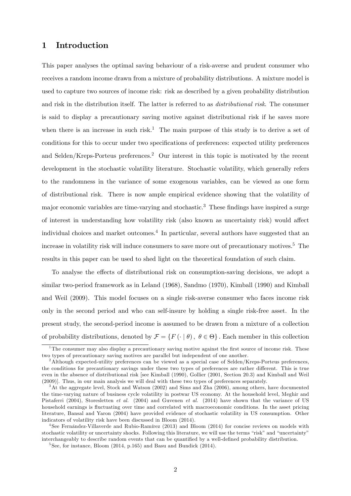# 1 Introduction

This paper analyses the optimal saving behaviour of a risk-averse and prudent consumer who receives a random income drawn from a mixture of probability distributions. A mixture model is used to capture two sources of income risk: risk as described by a given probability distribution and risk in the distribution itself. The latter is referred to as distributional risk. The consumer is said to display a precautionary saving motive against distributional risk if he saves more when there is an increase in such risk.<sup>1</sup> The main purpose of this study is to derive a set of conditions for this to occur under two specifications of preferences: expected utility preferences and Selden/Kreps-Porteus preferences.<sup>2</sup> Our interest in this topic is motivated by the recent development in the stochastic volatility literature. Stochastic volatility, which generally refers to the randomness in the variance of some exogenous variables, can be viewed as one form of distributional risk. There is now ample empirical evidence showing that the volatility of major economic variables are time-varying and stochastic.<sup>3</sup> These findings have inspired a surge of interest in understanding how volatility risk (also known as uncertainty risk) would affect individual choices and market outcomes.<sup>4</sup> In particular, several authors have suggested that an increase in volatility risk will induce consumers to save more out of precautionary motives.<sup>5</sup> The results in this paper can be used to shed light on the theoretical foundation of such claim.

To analyse the effects of distributional risk on consumption-saving decisions, we adopt a similar two-period framework as in Leland (1968), Sandmo (1970), Kimball (1990) and Kimball and Weil (2009). This model focuses on a single risk-averse consumer who faces income risk only in the second period and who can self-insure by holding a single risk-free asset. In the present study, the second-period income is assumed to be drawn from a mixture of a collection of probability distributions, denoted by  $\mathcal{F} = \{F(\cdot | \theta), \theta \in \Theta\}$ . Each member in this collection

<sup>&</sup>lt;sup>1</sup>The consumer may also display a precautionary saving motive against the first source of income risk. These two types of precautionary saving motives are parallel but independent of one another.

<sup>&</sup>lt;sup>2</sup>Although expected-utility preferences can be viewed as a special case of Selden/Kreps-Porteus preferences, the conditions for precautionary savings under these two types of preferences are rather different. This is true even in the absence of distributional risk [see Kimball (1990), Gollier (2001, Section 20.3) and Kimball and Weil (2009)]. Thus, in our main analysis we will deal with these two types of preferences separately.

<sup>3</sup>At the aggregate level, Stock and Watson (2002) and Sims and Zha (2006), among others, have documented the time-varying nature of business cycle volatility in postwar US economy. At the household level, Meghir and Pistaferri (2004), Storesletten et al. (2004) and Guvenen et al. (2014) have shown that the variance of US household earnings is fluctuating over time and correlated with macroeconomic conditions. In the asset pricing literature, Bansal and Yaron (2004) have provided evidence of stochastic volatility in US consumption. Other indicators of volatility risk have been discussed in Bloom (2014).

<sup>&</sup>lt;sup>4</sup>See Fernández-Villaverde and Rubio-Ramírez (2013) and Bloom (2014) for concise reviews on models with stochastic volatility or uncertainty shocks. Following this literature, we will use the terms "risk" and "uncertainty" interchangeably to describe random events that can be quantified by a well-defined probability distribution.

 $5$ See, for instance, Bloom (2014, p.165) and Basu and Bundick (2014).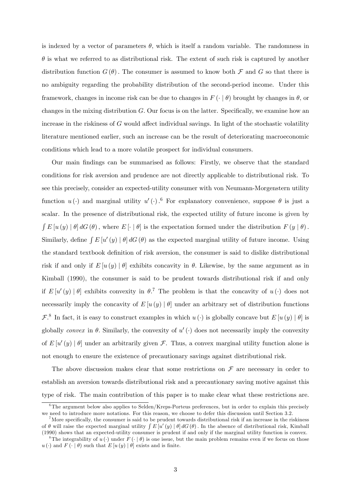is indexed by a vector of parameters  $\theta$ , which is itself a random variable. The randomness in  $\theta$  is what we referred to as distributional risk. The extent of such risk is captured by another distribution function  $G(\theta)$ . The consumer is assumed to know both  $\mathcal F$  and  $G$  so that there is no ambiguity regarding the probability distribution of the second-period income. Under this framework, changes in income risk can be due to changes in  $F(\cdot | \theta)$  brought by changes in  $\theta$ , or changes in the mixing distribution  $G$ . Our focus is on the latter. Specifically, we examine how an increase in the riskiness of  $G$  would affect individual savings. In light of the stochastic volatility literature mentioned earlier, such an increase can be the result of deteriorating macroeconomic conditions which lead to a more volatile prospect for individual consumers.

Our main Öndings can be summarised as follows: Firstly, we observe that the standard conditions for risk aversion and prudence are not directly applicable to distributional risk. To see this precisely, consider an expected-utility consumer with von Neumann-Morgenstern utility function  $u(\cdot)$  and marginal utility  $u'(\cdot)$ .<sup>6</sup> For explanatory convenience, suppose  $\theta$  is just a scalar. In the presence of distributional risk, the expected utility of future income is given by  $\int E[u(y) | \theta] dG(\theta)$ , where  $E[\cdot | \theta]$  is the expectation formed under the distribution  $F(y | \theta)$ . Similarly, define  $\int E[u'(y) | \theta] dG(\theta)$  as the expected marginal utility of future income. Using the standard textbook definition of risk aversion, the consumer is said to dislike distributional risk if and only if  $E[u(y) | \theta]$  exhibits concavity in  $\theta$ . Likewise, by the same argument as in Kimball (1990), the consumer is said to be prudent towards distributional risk if and only if  $E[u'(y) | \theta]$  exhibits convexity in  $\theta$ .<sup>7</sup> The problem is that the concavity of  $u(\cdot)$  does not necessarily imply the concavity of  $E[u(y) | \theta]$  under an arbitrary set of distribution functions  $\mathcal{F}^8$ . In fact, it is easy to construct examples in which  $u(\cdot)$  is globally concave but  $E[u(y) | \theta]$  is globally convex in  $\theta$ . Similarly, the convexity of  $u'(\cdot)$  does not necessarily imply the convexity of  $E[u'(y) | \theta]$  under an arbitrarily given  $\mathcal{F}$ . Thus, a convex marginal utility function alone is not enough to ensure the existence of precautionary savings against distributional risk.

The above discussion makes clear that some restrictions on  $\mathcal F$  are necessary in order to establish an aversion towards distributional risk and a precautionary saving motive against this type of risk. The main contribution of this paper is to make clear what these restrictions are.

 $6\text{The argument below also applies to Selden/Kreps-Porteus preferences, but in order to explain this precisely.}$ we need to introduce more notations. For this reason, we choose to defer this discussion until Section 3.2.

<sup>&</sup>lt;sup>7</sup>More specifically, the consumer is said to be prudent towards distributional risk if an increase in the riskiness of  $\theta$  will raise the expected marginal utility  $\int E[u'(y) | \theta] dG(\theta)$ . In the absence of distributional risk, Kimball (1990) shows that an expected-utility consumer is prudent if and only if the marginal utility function is convex.

<sup>&</sup>lt;sup>8</sup>The integrability of  $u(\cdot)$  under  $F(\cdot | \theta)$  is one issue, but the main problem remains even if we focus on those  $u(\cdot)$  and  $F(\cdot | \theta)$  such that  $E[u(y) | \theta]$  exists and is finite.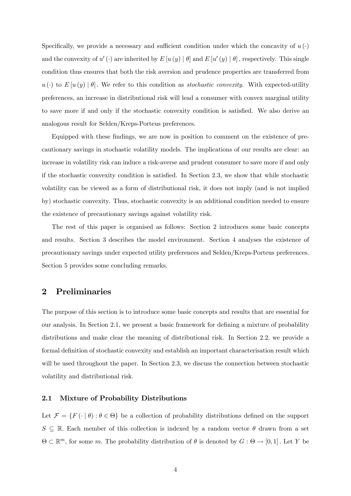Specifically, we provide a necessary and sufficient condition under which the concavity of  $u(\cdot)$ and the convexity of  $u'(\cdot)$  are inherited by  $E[u(y) | \theta]$  and  $E[u'(y) | \theta]$ , respectively. This single condition thus ensures that both the risk aversion and prudence properties are transferred from  $u(\cdot)$  to  $E[u(y) | \theta]$ . We refer to this condition as *stochastic convexity*. With expected-utility preferences, an increase in distributional risk will lead a consumer with convex marginal utility to save more if and only if the stochastic convexity condition is satisfied. We also derive an analogous result for Selden/Kreps-Porteus preferences.

Equipped with these findings, we are now in position to comment on the existence of precautionary savings in stochastic volatility models. The implications of our results are clear: an increase in volatility risk can induce a risk-averse and prudent consumer to save more if and only if the stochastic convexity condition is satisfied. In Section  $2.3$ , we show that while stochastic volatility can be viewed as a form of distributional risk, it does not imply (and is not implied by) stochastic convexity. Thus, stochastic convexity is an additional condition needed to ensure the existence of precautionary savings against volatility risk.

The rest of this paper is organised as follows: Section 2 introduces some basic concepts and results. Section 3 describes the model environment. Section 4 analyses the existence of precautionary savings under expected utility preferences and Selden/Kreps-Porteus preferences. Section 5 provides some concluding remarks.

## 2 Preliminaries

The purpose of this section is to introduce some basic concepts and results that are essential for our analysis. In Section 2.1, we present a basic framework for defining a mixture of probability distributions and make clear the meaning of distributional risk. In Section 2.2, we provide a formal definition of stochastic convexity and establish an important characterisation result which will be used throughout the paper. In Section 2.3, we discuss the connection between stochastic volatility and distributional risk.

#### 2.1 Mixture of Probability Distributions

Let  $\mathcal{F} = \{F(\cdot | \theta) : \theta \in \Theta\}$  be a collection of probability distributions defined on the support  $S \subseteq \mathbb{R}$ . Each member of this collection is indexed by a random vector  $\theta$  drawn from a set  $\Theta \subset \mathbb{R}^m$ , for some m. The probability distribution of  $\theta$  is denoted by  $G : \Theta \to [0,1]$ . Let Y be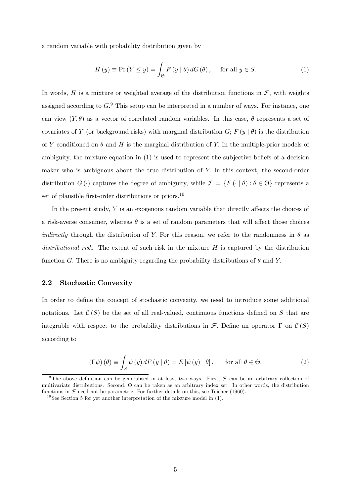a random variable with probability distribution given by

$$
H(y) \equiv \Pr(Y \le y) = \int_{\Theta} F(y | \theta) dG(\theta), \quad \text{for all } y \in S.
$$
 (1)

In words, H is a mixture or weighted average of the distribution functions in  $\mathcal{F}$ , with weights assigned according to  $G<sup>9</sup>$ . This setup can be interpreted in a number of ways. For instance, one can view  $(Y, \theta)$  as a vector of correlated random variables. In this case,  $\theta$  represents a set of covariates of Y (or background risks) with marginal distribution  $G; F(y | \theta)$  is the distribution of Y conditioned on  $\theta$  and H is the marginal distribution of Y. In the multiple-prior models of ambiguity, the mixture equation in (1) is used to represent the subjective beliefs of a decision maker who is ambiguous about the true distribution of Y: In this context, the second-order distribution  $G(\cdot)$  captures the degree of ambiguity, while  $\mathcal{F} = \{F(\cdot | \theta) : \theta \in \Theta\}$  represents a set of plausible first-order distributions or priors.<sup>10</sup>

In the present study,  $Y$  is an exogenous random variable that directly affects the choices of a risk-averse consumer, whereas  $\theta$  is a set of random parameters that will affect those choices indirectly through the distribution of Y. For this reason, we refer to the randomness in  $\theta$  as distributional risk. The extent of such risk in the mixture  $H$  is captured by the distribution function G. There is no ambiguity regarding the probability distributions of  $\theta$  and Y.

## 2.2 Stochastic Convexity

In order to define the concept of stochastic convexity, we need to introduce some additional notations. Let  $\mathcal{C}(S)$  be the set of all real-valued, continuous functions defined on S that are integrable with respect to the probability distributions in F. Define an operator  $\Gamma$  on  $\mathcal{C}(S)$ according to

$$
\left(\Gamma\psi\right)(\theta) \equiv \int_{S} \psi\left(y\right) dF\left(y \mid \theta\right) = E\left[\psi\left(y\right) \mid \theta\right], \quad \text{for all } \theta \in \Theta. \tag{2}
$$

<sup>&</sup>lt;sup>9</sup>The above definition can be generalised in at least two ways. First,  $\mathcal F$  can be an arbitrary collection of multivariate distributions. Second,  $\Theta$  can be taken as an arbitrary index set. In other words, the distribution functions in  $\mathcal F$  need not be parametric. For further details on this, see Teicher (1960).

<sup>&</sup>lt;sup>10</sup>See Section 5 for yet another interpretation of the mixture model in  $(1)$ .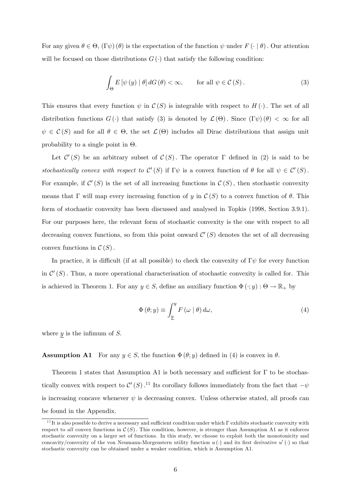For any given  $\theta \in \Theta$ ,  $(\Gamma \psi) (\theta)$  is the expectation of the function  $\psi$  under  $F(\cdot | \theta)$ . Our attention will be focused on those distributions  $G(\cdot)$  that satisfy the following condition:

$$
\int_{\Theta} E\left[\psi\left(y\right) \mid \theta\right] dG\left(\theta\right) < \infty, \qquad \text{for all } \psi \in \mathcal{C}\left(S\right). \tag{3}
$$

This ensures that every function  $\psi$  in  $\mathcal{C}(S)$  is integrable with respect to  $H(\cdot)$ . The set of all distribution functions  $G(\cdot)$  that satisfy (3) is denoted by  $\mathcal{L}(\Theta)$ . Since  $(\Gamma \psi)(\theta) < \infty$  for all  $\psi \in \mathcal{C}(S)$  and for all  $\theta \in \Theta$ , the set  $\mathcal{L}(\Theta)$  includes all Dirac distributions that assign unit probability to a single point in  $\Theta$ .

Let  $\mathcal{C}'(S)$  be an arbitrary subset of  $\mathcal{C}(S)$ . The operator  $\Gamma$  defined in (2) is said to be stochastically convex with respect to  $\mathcal{C}'(S)$  if  $\Gamma \psi$  is a convex function of  $\theta$  for all  $\psi \in \mathcal{C}'(S)$ . For example, if  $\mathcal{C}'(S)$  is the set of all increasing functions in  $\mathcal{C}(S)$ , then stochastic convexity means that  $\Gamma$  will map every increasing function of y in  $\mathcal{C}(S)$  to a convex function of  $\theta$ . This form of stochastic convexity has been discussed and analysed in Topkis (1998, Section 3.9.1). For our purposes here, the relevant form of stochastic convexity is the one with respect to all decreasing convex functions, so from this point onward  $\mathcal{C}'(S)$  denotes the set of all decreasing convex functions in  $\mathcal{C}(S)$ .

In practice, it is difficult (if at all possible) to check the convexity of  $\Gamma \psi$  for every function in  $\mathcal{C}'(S)$ . Thus, a more operational characterisation of stochastic convexity is called for. This is achieved in Theorem 1. For any  $y \in S$ , define an auxiliary function  $\Phi(\cdot; y) : \Theta \to \mathbb{R}_+$  by

$$
\Phi(\theta; y) \equiv \int_{\underline{y}}^{y} F(\omega | \theta) d\omega,
$$
\n(4)

where  $y$  is the infimum of  $S$ .

**Assumption A1** For any  $y \in S$ , the function  $\Phi(\theta; y)$  defined in (4) is convex in  $\theta$ .

Theorem 1 states that Assumption A1 is both necessary and sufficient for  $\Gamma$  to be stochastically convex with respect to  $\mathcal{C}'(S)$ .<sup>11</sup> Its corollary follows immediately from the fact that  $-\psi$ is increasing concave whenever  $\psi$  is decreasing convex. Unless otherwise stated, all proofs can be found in the Appendix.

 $11$ It is also possible to derive a necessary and sufficient condition under which  $\Gamma$  exhibits stochastic convexity with respect to all convex functions in  $C(S)$ . This condition, however, is stronger than Assumption A1 as it enforces stochastic convexity on a larger set of functions. In this study, we choose to exploit both the monotonicity and concavity/convexity of the von Neumann-Morgenstern utility function  $u(\cdot)$  and its first derivative  $u'(\cdot)$  so that stochastic convexity can be obtained under a weaker condition, which is Assumption A1.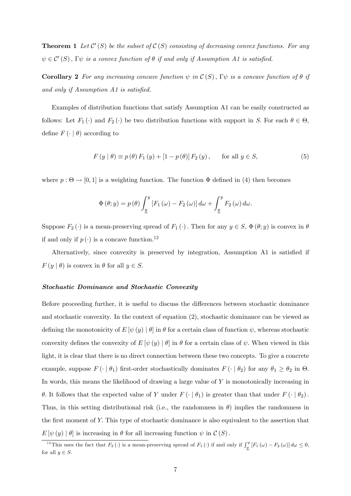**Theorem 1** Let  $\mathcal{C}'(S)$  be the subset of  $\mathcal{C}(S)$  consisting of decreasing convex functions. For any  $\psi \in \mathcal{C}'(S)$ ,  $\Gamma \psi$  is a convex function of  $\theta$  if and only if Assumption A1 is satisfied.

**Corollary 2** For any increasing concave function  $\psi$  in  $\mathcal{C}(S)$ ,  $\Gamma \psi$  is a concave function of  $\theta$  if and only if Assumption  $A1$  is satisfied.

Examples of distribution functions that satisfy Assumption A1 can be easily constructed as follows: Let  $F_1(\cdot)$  and  $F_2(\cdot)$  be two distribution functions with support in S. For each  $\theta \in \Theta$ , define  $F\left( \cdot \mid \theta \right)$  according to

$$
F(y | \theta) \equiv p(\theta) F_1(y) + [1 - p(\theta)] F_2(y), \quad \text{for all } y \in S,
$$
\n
$$
(5)
$$

where  $p : \Theta \to [0, 1]$  is a weighting function. The function  $\Phi$  defined in (4) then becomes

$$
\Phi(\theta; y) = p(\theta) \int_{\underline{y}}^{y} \left[ F_1(\omega) - F_2(\omega) \right] d\omega + \int_{\underline{y}}^{y} F_2(\omega) d\omega.
$$

Suppose  $F_2(\cdot)$  is a mean-preserving spread of  $F_1(\cdot)$ . Then for any  $y \in S$ ,  $\Phi(\theta; y)$  is convex in  $\theta$ if and only if  $p(\cdot)$  is a concave function.<sup>12</sup>

Alternatively, since convexity is preserved by integration, Assumption A1 is satisfied if  $F(y | \theta)$  is convex in  $\theta$  for all  $y \in S$ .

#### Stochastic Dominance and Stochastic Convexity

Before proceeding further, it is useful to discuss the differences between stochastic dominance and stochastic convexity. In the context of equation (2), stochastic dominance can be viewed as defining the monotonicity of  $E[\psi(y) | \theta]$  in  $\theta$  for a certain class of function  $\psi$ , whereas stochastic convexity defines the convexity of  $E [\psi(y) | \theta]$  in  $\theta$  for a certain class of  $\psi$ . When viewed in this light, it is clear that there is no direct connection between these two concepts. To give a concrete example, suppose  $F(\cdot | \theta_1)$  first-order stochastically dominates  $F(\cdot | \theta_2)$  for any  $\theta_1 \ge \theta_2$  in  $\Theta$ . In words, this means the likelihood of drawing a large value of Y is monotonically increasing in  $\theta$ . It follows that the expected value of Y under  $F(\cdot | \theta_1)$  is greater than that under  $F(\cdot | \theta_2)$ . Thus, in this setting distributional risk (i.e., the randomness in  $\theta$ ) implies the randomness in the first moment of Y. This type of stochastic dominance is also equivalent to the assertion that  $E[\psi(y) | \theta]$  is increasing in  $\theta$  for all increasing function  $\psi$  in  $\mathcal{C}(S)$ .

<sup>&</sup>lt;sup>12</sup>This uses the fact that  $F_2(\cdot)$  is a mean-preserving spread of  $F_1(\cdot)$  if and only if  $\int_y^y [F_1(\omega) - F_2(\omega)] d\omega \leq 0$ , for all  $y \in S$ .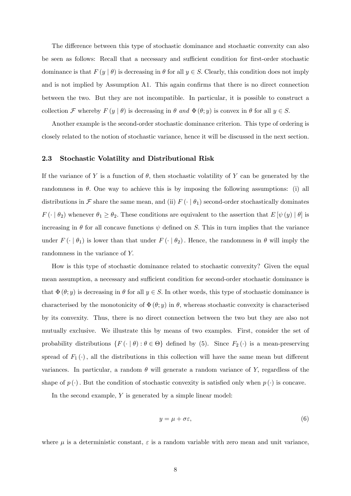The difference between this type of stochastic dominance and stochastic convexity can also be seen as follows: Recall that a necessary and sufficient condition for first-order stochastic dominance is that  $F(y | \theta)$  is decreasing in  $\theta$  for all  $y \in S$ . Clearly, this condition does not imply and is not implied by Assumption A1. This again confirms that there is no direct connection between the two. But they are not incompatible. In particular, it is possible to construct a collection F whereby  $F(y | \theta)$  is decreasing in  $\theta$  and  $\Phi(\theta; y)$  is convex in  $\theta$  for all  $y \in S$ .

Another example is the second-order stochastic dominance criterion. This type of ordering is closely related to the notion of stochastic variance, hence it will be discussed in the next section.

#### 2.3 Stochastic Volatility and Distributional Risk

If the variance of Y is a function of  $\theta$ , then stochastic volatility of Y can be generated by the randomness in  $\theta$ . One way to achieve this is by imposing the following assumptions: (i) all distributions in  $\mathcal F$  share the same mean, and (ii)  $F(\cdot | \theta_1)$  second-order stochastically dominates  $F(\cdot | \theta_2)$  whenever  $\theta_1 \ge \theta_2$ . These conditions are equivalent to the assertion that  $E[\psi(y) | \theta]$  is increasing in  $\theta$  for all concave functions  $\psi$  defined on S. This in turn implies that the variance under  $F(\cdot | \theta_1)$  is lower than that under  $F(\cdot | \theta_2)$ . Hence, the randomness in  $\theta$  will imply the randomness in the variance of Y.

How is this type of stochastic dominance related to stochastic convexity? Given the equal mean assumption, a necessary and sufficient condition for second-order stochastic dominance is that  $\Phi(\theta; y)$  is decreasing in  $\theta$  for all  $y \in S$ . In other words, this type of stochastic dominance is characterised by the monotonicity of  $\Phi(\theta; y)$  in  $\theta$ , whereas stochastic convexity is characterised by its convexity. Thus, there is no direct connection between the two but they are also not mutually exclusive. We illustrate this by means of two examples. First, consider the set of probability distributions  $\{F(\cdot | \theta) : \theta \in \Theta\}$  defined by (5). Since  $F_2(\cdot)$  is a mean-preserving spread of  $F_1(\cdot)$ , all the distributions in this collection will have the same mean but different variances. In particular, a random  $\theta$  will generate a random variance of Y, regardless of the shape of  $p(\cdot)$ . But the condition of stochastic convexity is satisfied only when  $p(\cdot)$  is concave.

In the second example,  $Y$  is generated by a simple linear model:

$$
y = \mu + \sigma \varepsilon,\tag{6}
$$

where  $\mu$  is a deterministic constant,  $\varepsilon$  is a random variable with zero mean and unit variance,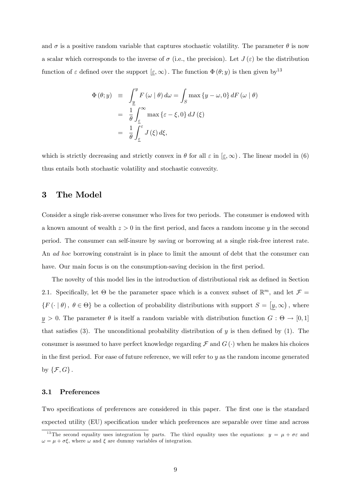and  $\sigma$  is a positive random variable that captures stochastic volatility. The parameter  $\theta$  is now a scalar which corresponds to the inverse of  $\sigma$  (i.e., the precision). Let  $J(\varepsilon)$  be the distribution function of  $\varepsilon$  defined over the support  $[\varepsilon,\infty)$ . The function  $\Phi(\theta; y)$  is then given by<sup>13</sup>

$$
\begin{array}{rcl}\n\Phi(\theta; y) & \equiv & \displaystyle\int_{\underline{y}}^{y} F(\omega \mid \theta) \, d\omega = \int_{S} \max \left\{ y - \omega, 0 \right\} dF(\omega \mid \theta) \\
& = & \displaystyle\frac{1}{\theta} \int_{\underline{\varepsilon}}^{\infty} \max \left\{ \varepsilon - \xi, 0 \right\} dJ(\xi) \\
& = & \displaystyle\frac{1}{\theta} \int_{\underline{\varepsilon}}^{\varepsilon} J(\xi) \, d\xi,\n\end{array}
$$

which is strictly decreasing and strictly convex in  $\theta$  for all  $\varepsilon$  in  $[\varepsilon,\infty)$ . The linear model in (6) thus entails both stochastic volatility and stochastic convexity.

## 3 The Model

Consider a single risk-averse consumer who lives for two periods. The consumer is endowed with a known amount of wealth  $z > 0$  in the first period, and faces a random income y in the second period. The consumer can self-insure by saving or borrowing at a single risk-free interest rate. An ad hoc borrowing constraint is in place to limit the amount of debt that the consumer can have. Our main focus is on the consumption-saving decision in the first period.

The novelty of this model lies in the introduction of distributional risk as defined in Section 2.1. Specifically, let  $\Theta$  be the parameter space which is a convex subset of  $\mathbb{R}^m$ , and let  $\mathcal{F} =$  $\{F(\cdot | \theta), \theta \in \Theta\}$  be a collection of probability distributions with support  $S = [y, \infty)$ , where  $y > 0$ . The parameter  $\theta$  is itself a random variable with distribution function  $G : \Theta \to [0,1]$ that satisfies (3). The unconditional probability distribution of  $y$  is then defined by (1). The consumer is assumed to have perfect knowledge regarding  $\mathcal F$  and  $G(\cdot)$  when he makes his choices in the first period. For ease of future reference, we will refer to  $y$  as the random income generated by  $\{\mathcal{F}, G\}$ .

## 3.1 Preferences

Two specifications of preferences are considered in this paper. The first one is the standard expected utility (EU) specification under which preferences are separable over time and across

<sup>&</sup>lt;sup>13</sup>The second equality uses integration by parts. The third equality uses the equations:  $y = \mu + \sigma \varepsilon$  and  $\omega = \mu + \sigma \xi$ , where  $\omega$  and  $\xi$  are dummy variables of integration.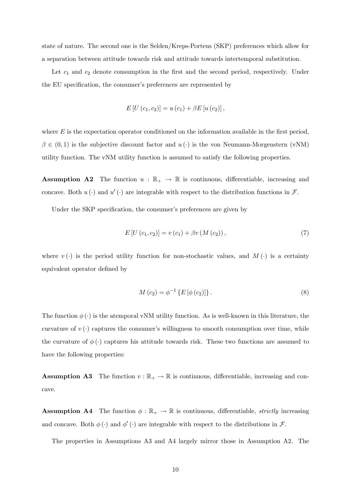state of nature. The second one is the Selden/Kreps-Porteus (SKP) preferences which allow for a separation between attitude towards risk and attitude towards intertemporal substitution.

Let  $c_1$  and  $c_2$  denote consumption in the first and the second period, respectively. Under the EU specification, the consumer's preferences are represented by

$$
E[U(c_1, c_2)] = u(c_1) + \beta E[u(c_2)],
$$

where  $E$  is the expectation operator conditioned on the information available in the first period,  $\beta \in (0, 1)$  is the subjective discount factor and  $u(\cdot)$  is the von Neumann-Morgenstern (vNM) utility function. The vNM utility function is assumed to satisfy the following properties.

**Assumption A2** The function  $u : \mathbb{R}_+ \to \mathbb{R}$  is continuous, differentiable, increasing and concave. Both  $u(\cdot)$  and  $u'(\cdot)$  are integrable with respect to the distribution functions in  $\mathcal{F}$ .

Under the SKP specification, the consumer's preferences are given by

$$
E[U(c_1, c_2)] = v(c_1) + \beta v(M(c_2)), \qquad (7)
$$

where  $v(\cdot)$  is the period utility function for non-stochastic values, and  $M(\cdot)$  is a certainty equivalent operator defined by

$$
M(c_2) = \phi^{-1} \{ E \left[ \phi(c_2) \right] \}.
$$
 (8)

The function  $\phi(\cdot)$  is the atemporal vNM utility function. As is well-known in this literature, the curvature of  $v(\cdot)$  captures the consumer's willingness to smooth consumption over time, while the curvature of  $\phi(\cdot)$  captures his attitude towards risk. These two functions are assumed to have the following properties:

**Assumption A3** The function  $v : \mathbb{R}_+ \to \mathbb{R}$  is continuous, differentiable, increasing and concave.

**Assumption A4** The function  $\phi : \mathbb{R}_+ \to \mathbb{R}$  is continuous, differentiable, *strictly* increasing and concave. Both  $\phi(\cdot)$  and  $\phi'(\cdot)$  are integrable with respect to the distributions in F.

The properties in Assumptions A3 and A4 largely mirror those in Assumption A2. The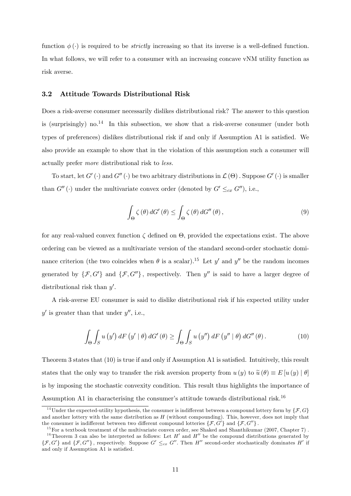function  $\phi(\cdot)$  is required to be *strictly* increasing so that its inverse is a well-defined function. In what follows, we will refer to a consumer with an increasing concave vNM utility function as risk averse.

#### 3.2 Attitude Towards Distributional Risk

Does a risk-averse consumer necessarily dislikes distributional risk? The answer to this question is (surprisingly) no.<sup>14</sup> In this subsection, we show that a risk-averse consumer (under both types of preferences) dislikes distributional risk if and only if Assumption A1 is satisfied. We also provide an example to show that in the violation of this assumption such a consumer will actually prefer more distributional risk to less.

To start, let  $G'(\cdot)$  and  $G''(\cdot)$  be two arbitrary distributions in  $\mathcal{L}(\Theta)$  . Suppose  $G'(\cdot)$  is smaller than  $G''(\cdot)$  under the multivariate convex order (denoted by  $G' \leq_{cx} G''$ ), i.e.,

$$
\int_{\Theta} \zeta(\theta) dG'(\theta) \le \int_{\Theta} \zeta(\theta) dG''(\theta), \qquad (9)
$$

for any real-valued convex function  $\zeta$  defined on  $\Theta$ , provided the expectations exist. The above ordering can be viewed as a multivariate version of the standard second-order stochastic dominance criterion (the two coincides when  $\theta$  is a scalar).<sup>15</sup> Let y' and y'' be the random incomes generated by  $\{\mathcal{F}, G'\}$  and  $\{\mathcal{F}, G''\}$ , respectively. Then y'' is said to have a larger degree of distributional risk than  $y'$ .

A risk-averse EU consumer is said to dislike distributional risk if his expected utility under  $y'$  is greater than that under  $y''$ , i.e.,

$$
\int_{\Theta} \int_{S} u(y') dF(y' | \theta) dG'(\theta) \ge \int_{\Theta} \int_{S} u(y'') dF(y'' | \theta) dG''(\theta).
$$
 (10)

Theorem 3 states that  $(10)$  is true if and only if Assumption A1 is satisfied. Intuitively, this result states that the only way to transfer the risk aversion property from  $u(y)$  to  $\tilde{u}(\theta) \equiv E[u(y) | \theta]$ is by imposing the stochastic convexity condition. This result thus highlights the importance of Assumption A1 in characterising the consumer's attitude towards distributional risk.<sup>16</sup>

<sup>&</sup>lt;sup>14</sup>Under the expected-utility hypothesis, the consumer is indifferent between a compound lottery form by  $\{F, G\}$ and another lottery with the same distribution as  $H$  (without compounding). This, however, does not imply that the consumer is indifferent between two different compound lotteries  $\{\mathcal{F}, \vec{G}'\}$  and  $\{\mathcal{F}, \vec{G}''\}$ .

 $15$  For a textbook treatment of the multivariate convex order, see Shaked and Shanthikumar (2007, Chapter 7). <sup>16</sup>Theorem 3 can also be interpreted as follows: Let  $H'$  and  $H''$  be the compound distributions generated by  $\{\mathcal{F}, G'\}$  and  $\{\mathcal{F}, G''\}$ , respectively. Suppose  $G' \leq_{cx} G''$ . Then H'' second-order stochastically dominates H' if and only if Assumption A1 is satisfied.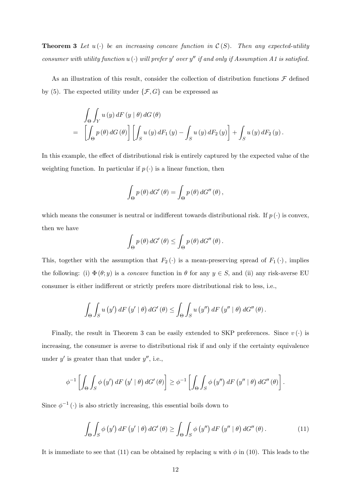**Theorem 3** Let  $u(\cdot)$  be an increasing concave function in  $\mathcal{C}(S)$ . Then any expected-utility consumer with utility function  $u(\cdot)$  will prefer y' over y'' if and only if Assumption A1 is satisfied.

As an illustration of this result, consider the collection of distribution functions  $\mathcal F$  defined by (5). The expected utility under  $\{\mathcal{F}, G\}$  can be expressed as

$$
\int_{\Theta} \int_{Y} u(y) dF (y | \theta) dG (\theta)
$$
\n
$$
= \left[ \int_{\Theta} p(\theta) dG (\theta) \right] \left[ \int_{S} u(y) dF_1 (y) - \int_{S} u(y) dF_2 (y) \right] + \int_{S} u(y) dF_2 (y).
$$

In this example, the effect of distributional risk is entirely captured by the expected value of the weighting function. In particular if  $p(\cdot)$  is a linear function, then

$$
\int_{\Theta} p(\theta) dG'(\theta) = \int_{\Theta} p(\theta) dG''(\theta),
$$

which means the consumer is neutral or indifferent towards distributional risk. If  $p(\cdot)$  is convex, then we have

$$
\int_{\Theta} p(\theta) dG'(\theta) \leq \int_{\Theta} p(\theta) dG''(\theta).
$$

This, together with the assumption that  $F_2(\cdot)$  is a mean-preserving spread of  $F_1(\cdot)$ , implies the following: (i)  $\Phi(\theta; y)$  is a *concave* function in  $\theta$  for any  $y \in S$ , and (ii) any risk-averse EU consumer is either indifferent or strictly prefers more distributional risk to less, i.e.,

$$
\int_{\Theta} \int_{S} u(y') dF(y' | \theta) dG'(\theta) \leq \int_{\Theta} \int_{S} u(y'') dF(y'' | \theta) dG''(\theta).
$$

Finally, the result in Theorem 3 can be easily extended to SKP preferences. Since  $v(\cdot)$  is increasing, the consumer is averse to distributional risk if and only if the certainty equivalence under  $y'$  is greater than that under  $y''$ , i.e.,

$$
\phi^{-1}\left[\int_{\Theta}\int_{S}\phi\left(y'\right)dF\left(y'\mid\theta\right)dG'\left(\theta\right)\right]\geq\phi^{-1}\left[\int_{\Theta}\int_{S}\phi\left(y''\right)dF\left(y''\mid\theta\right)dG''\left(\theta\right)\right]
$$

Since  $\phi^{-1}(\cdot)$  is also strictly increasing, this essential boils down to

$$
\int_{\Theta} \int_{S} \phi(y') dF(y' | \theta) dG'(\theta) \ge \int_{\Theta} \int_{S} \phi(y'') dF(y'' | \theta) dG''(\theta).
$$
\n(11)

:

It is immediate to see that (11) can be obtained by replacing u with  $\phi$  in (10). This leads to the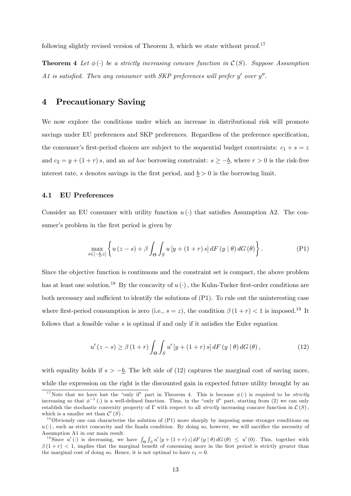following slightly revised version of Theorem 3, which we state without proof.<sup>17</sup>

**Theorem 4** Let  $\phi(\cdot)$  be a strictly increasing concave function in  $\mathcal{C}(S)$ . Suppose Assumption A1 is satisfied. Then any consumer with SKP preferences will prefer  $y'$  over  $y''$ .

# 4 Precautionary Saving

We now explore the conditions under which an increase in distributional risk will promote savings under EU preferences and SKP preferences. Regardless of the preference specification, the consumer's first-period choices are subject to the sequential budget constraints:  $c_1 + s = z$ and  $c_2 = y + (1 + r)s$ , and an *ad hoc* borrowing constraint:  $s \ge -b$ , where  $r > 0$  is the risk-free interest rate, s denotes savings in the first period, and  $\underline{b} > 0$  is the borrowing limit.

## 4.1 EU Preferences

Consider an EU consumer with utility function  $u(\cdot)$  that satisfies Assumption A2. The consumer's problem in the first period is given by

$$
\max_{s \in [-\underline{b},z]} \left\{ u\left(z-s\right) + \beta \int_{\Theta} \int_{S} u\left[y+\left(1+r\right)s\right] dF\left(y \mid \theta\right) dG\left(\theta\right) \right\}.
$$
 (P1)

Since the objective function is continuous and the constraint set is compact, the above problem has at least one solution.<sup>18</sup> By the concavity of  $u(\cdot)$ , the Kuhn-Tucker first-order conditions are both necessary and sufficient to identify the solutions of  $(P1)$ . To rule out the uninteresting case where first-period consumption is zero (i.e.,  $s = z$ ), the condition  $\beta(1+r) < 1$  is imposed.<sup>19</sup> It follows that a feasible value  $s$  is optimal if and only if it satisfies the Euler equation

$$
u'(z-s) \ge \beta (1+r) \int_{\Theta} \int_{S} u' \left[ y + (1+r) s \right] dF \left( y \mid \theta \right) dG \left( \theta \right), \tag{12}
$$

with equality holds if  $s > -b$ . The left side of (12) captures the marginal cost of saving more, while the expression on the right is the discounted gain in expected future utility brought by an

<sup>&</sup>lt;sup>17</sup>Note that we have lost the "only if" part in Theorem 4. This is because  $\phi(\cdot)$  is required to be *strictly* increasing so that  $\phi^{-1}(\cdot)$  is a well-defined function. Thus, in the "only if" part, starting from (2) we can only establish the stochastic convexity property of  $\Gamma$  with respect to all *strictly* increasing concave function in  $\mathcal{C}(S)$ . which is a smaller set than  $\mathcal{C}'(S)$ .

<sup>&</sup>lt;sup>18</sup>Obviously one can characterise the solution of  $(P1)$  more sharply by imposing some stronger conditions on  $u(\cdot)$ , such as strict concavity and the Inada condition. By doing so, however, we will sacrifice the necessity of Assumption A1 in our main result.

<sup>&</sup>lt;sup>19</sup>Since  $u'(\cdot)$  is decreasing, we have  $\int_{\Theta} \int_S u' [y + (1+r) z] dF(y | \theta) dG(\theta) \leq u'(0)$ . This, together with  $\beta(1 + r) < 1$ , implies that the marginal benefit of consuming more in the first period is strictly greater than the marginal cost of doing so. Hence, it is not optimal to have  $c_1 = 0$ .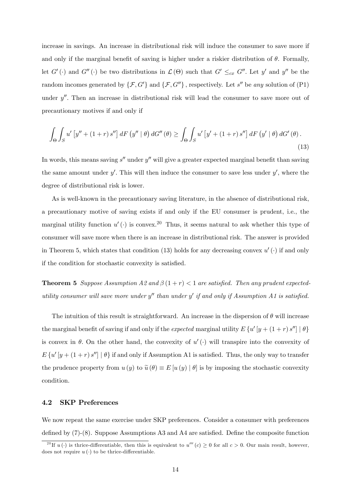increase in savings. An increase in distributional risk will induce the consumer to save more if and only if the marginal benefit of saving is higher under a riskier distribution of  $\theta$ . Formally, let  $G'(\cdot)$  and  $G''(\cdot)$  be two distributions in  $\mathcal{L}(\Theta)$  such that  $G' \leq_{cx} G''$ . Let y' and y'' be the random incomes generated by  $\{\mathcal{F}, G'\}$  and  $\{\mathcal{F}, G''\}$ , respectively. Let s'' be any solution of (P1) under  $y''$ . Then an increase in distributional risk will lead the consumer to save more out of precautionary motives if and only if

$$
\int_{\Theta} \int_{S} u' \left[ y'' + (1+r) s'' \right] dF \left( y'' \mid \theta \right) dG'' \left( \theta \right) \ge \int_{\Theta} \int_{S} u' \left[ y' + (1+r) s'' \right] dF \left( y' \mid \theta \right) dG' \left( \theta \right).
$$
\n(13)

In words, this means saving  $s''$  under  $y''$  will give a greater expected marginal benefit than saving the same amount under  $y'$ . This will then induce the consumer to save less under  $y'$ , where the degree of distributional risk is lower.

As is well-known in the precautionary saving literature, in the absence of distributional risk, a precautionary motive of saving exists if and only if the EU consumer is prudent, i.e., the marginal utility function  $u'(\cdot)$  is convex.<sup>20</sup> Thus, it seems natural to ask whether this type of consumer will save more when there is an increase in distributional risk. The answer is provided in Theorem 5, which states that condition (13) holds for any decreasing convex  $u'(\cdot)$  if and only if the condition for stochastic convexity is satisfied.

**Theorem 5** Suppose Assumption A2 and  $\beta(1+r) < 1$  are satisfied. Then any prudent expectedutility consumer will save more under  $y''$  than under  $y'$  if and only if Assumption A1 is satisfied.

The intuition of this result is straightforward. An increase in the dispersion of  $\theta$  will increase the marginal benefit of saving if and only if the *expected* marginal utility  $E\left\{u'\left[y+\left(1+r\right)s''\right]\mid\theta\right\}$ is convex in  $\theta$ . On the other hand, the convexity of  $u'(\cdot)$  will transpire into the convexity of  $E\left\{u'[y+(1+r)s'']\mid\theta\right\}$  if and only if Assumption A1 is satisfied. Thus, the only way to transfer the prudence property from  $u(y)$  to  $\tilde{u}(\theta) \equiv E[u(y) | \theta]$  is by imposing the stochastic convexity condition.

## 4.2 SKP Preferences

We now repeat the same exercise under SKP preferences. Consider a consumer with preferences defined by  $(7)-(8)$ . Suppose Assumptions A3 and A4 are satisfied. Define the composite function

<sup>&</sup>lt;sup>20</sup>If  $u(\cdot)$  is thrice-differentiable, then this is equivalent to  $u'''(c) \geq 0$  for all  $c > 0$ . Our main result, however, does not require  $u(\cdot)$  to be thrice-differentiable.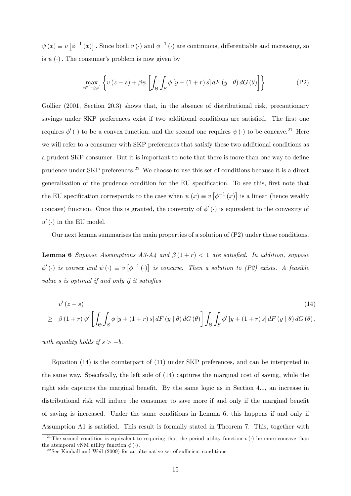$\psi(x) \equiv v \left[ \phi^{-1}(x) \right]$ . Since both  $v(\cdot)$  and  $\phi^{-1}(\cdot)$  are continuous, differentiable and increasing, so is  $\psi(\cdot)$ . The consumer's problem is now given by

$$
\max_{s \in [-\underline{b},z]} \left\{ v(z-s) + \beta \psi \left[ \int_{\Theta} \int_{S} \phi \left[ y + (1+r) s \right] dF \left( y \mid \theta \right) dG \left( \theta \right) \right] \right\}.
$$
 (P2)

Gollier (2001, Section 20.3) shows that, in the absence of distributional risk, precautionary savings under SKP preferences exist if two additional conditions are satisfied. The first one requires  $\phi'(\cdot)$  to be a convex function, and the second one requires  $\psi(\cdot)$  to be concave.<sup>21</sup> Here we will refer to a consumer with SKP preferences that satisfy these two additional conditions as a prudent SKP consumer. But it is important to note that there is more than one way to define prudence under SKP preferences.<sup>22</sup> We choose to use this set of conditions because it is a direct generalisation of the prudence condition for the EU specification. To see this, first note that the EU specification corresponds to the case when  $\psi(x) \equiv v \left[ \phi^{-1}(x) \right]$  is a linear (hence weakly concave) function. Once this is granted, the convexity of  $\phi'$  ( $\cdot$ ) is equivalent to the convexity of  $u'$  ( $\cdot$ ) in the EU model.

Our next lemma summarises the main properties of a solution of (P2) under these conditions.

**Lemma 6** Suppose Assumptions A3-A4 and  $\beta(1+r) < 1$  are satisfied. In addition, suppose  $\phi'(\cdot)$  is convex and  $\psi(\cdot) \equiv v \left[ \phi^{-1}(\cdot) \right]$  is concave. Then a solution to (P2) exists. A feasible value  $s$  is optimal if and only if it satisfies

$$
v'(z-s)
$$
\n
$$
\geq \beta (1+r) \psi' \left[ \int_{\Theta} \int_{S} \phi \left[ y + (1+r) s \right] dF \left( y \mid \theta \right) dG \left( \theta \right) \right] \int_{\Theta} \int_{S} \phi' \left[ y + (1+r) s \right] dF \left( y \mid \theta \right) dG \left( \theta \right),
$$
\n
$$
(14)
$$

with equality holds if  $s > -b$ .

Equation (14) is the counterpart of (11) under SKP preferences, and can be interpreted in the same way. Specifically, the left side of  $(14)$  captures the marginal cost of saving, while the right side captures the marginal benefit. By the same logic as in Section 4.1, an increase in distributional risk will induce the consumer to save more if and only if the marginal benefit of saving is increased. Under the same conditions in Lemma 6, this happens if and only if Assumption A1 is satisfied. This result is formally stated in Theorem 7. This, together with

<sup>&</sup>lt;sup>21</sup>The second condition is equivalent to requiring that the period utility function  $v(\cdot)$  be more concave than the atemporal vNM utility function  $\phi(\cdot)$ .

<sup>&</sup>lt;sup>22</sup> See Kimball and Weil (2009) for an alternative set of sufficient conditions.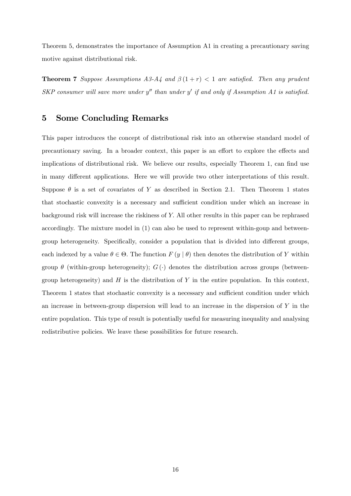Theorem 5, demonstrates the importance of Assumption A1 in creating a precautionary saving motive against distributional risk.

**Theorem 7** Suppose Assumptions A3-A4 and  $\beta(1+r) < 1$  are satisfied. Then any prudent SKP consumer will save more under  $y''$  than under  $y'$  if and only if Assumption A1 is satisfied.

# 5 Some Concluding Remarks

This paper introduces the concept of distributional risk into an otherwise standard model of precautionary saving. In a broader context, this paper is an effort to explore the effects and implications of distributional risk. We believe our results, especially Theorem 1, can find use in many different applications. Here we will provide two other interpretations of this result. Suppose  $\theta$  is a set of covariates of Y as described in Section 2.1. Then Theorem 1 states that stochastic convexity is a necessary and sufficient condition under which an increase in background risk will increase the riskiness of Y: All other results in this paper can be rephrased accordingly. The mixture model in (1) can also be used to represent within-goup and betweengroup heterogeneity. Specifically, consider a population that is divided into different groups, each indexed by a value  $\theta \in \Theta$ . The function  $F(y | \theta)$  then denotes the distribution of Y within group  $\theta$  (within-group heterogeneity);  $G(\cdot)$  denotes the distribution across groups (betweengroup heterogeneity) and  $H$  is the distribution of Y in the entire population. In this context, Theorem 1 states that stochastic convexity is a necessary and sufficient condition under which an increase in between-group dispersion will lead to an increase in the dispersion of  $Y$  in the entire population. This type of result is potentially useful for measuring inequality and analysing redistributive policies. We leave these possibilities for future research.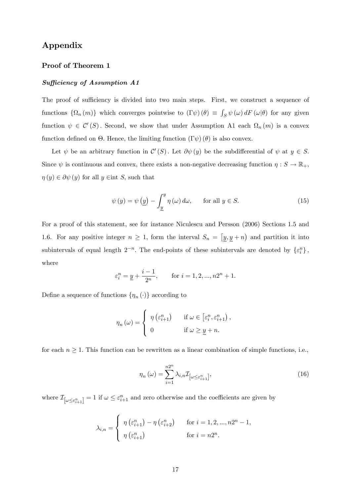# Appendix

## Proof of Theorem 1

## $Sufficiency of Assumption A1$

The proof of sufficiency is divided into two main steps. First, we construct a sequence of functions  $\{\Omega_n(m)\}\$  which converges pointwise to  $(\Gamma \psi)(\theta) \equiv \int_S \psi(\omega) dF(\omega|\theta)$  for any given function  $\psi \in C'(S)$ . Second, we show that under Assumption A1 each  $\Omega_n(m)$  is a convex function defined on  $\Theta$ . Hence, the limiting function  $(\Gamma \psi)(\theta)$  is also convex.

Let  $\psi$  be an arbitrary function in  $\mathcal{C}'(S)$ . Let  $\partial \psi(y)$  be the subdifferential of  $\psi$  at  $y \in S$ . Since  $\psi$  is continuous and convex, there exists a non-negative decreasing function  $\eta : S \to \mathbb{R}_+$ ,  $\eta(y) \in \partial \psi(y)$  for all  $y \in \text{int } S$ , such that

$$
\psi(y) = \psi(y) - \int_{\underline{y}}^{y} \eta(\omega) d\omega, \quad \text{for all } y \in S.
$$
 (15)

For a proof of this statement, see for instance Niculescu and Persson (2006) Sections 1.5 and 1.6. For any positive integer  $n \geq 1$ , form the interval  $S_n = [y, y + n]$  and partition it into subintervals of equal length  $2^{-n}$ . The end-points of these subintervals are denoted by  $\{\varepsilon_i^n\}$ , where

$$
\varepsilon_i^n = \underline{y} + \frac{i-1}{2^n}
$$
, for  $i = 1, 2, ..., n2^n + 1$ .

Define a sequence of functions  $\{\eta_n(\cdot)\}\$ according to

$$
\eta_n(\omega) = \begin{cases} \eta(\varepsilon_{i+1}^n) & \text{if } \omega \in [\varepsilon_i^n, \varepsilon_{i+1}^n), \\ 0 & \text{if } \omega \ge \underline{y} + n. \end{cases}
$$

for each  $n \geq 1$ . This function can be rewritten as a linear combination of simple functions, i.e.,

$$
\eta_n(\omega) = \sum_{i=1}^{n2^n} \lambda_{i,n} \mathcal{I}_{\left[\omega \le \varepsilon_{i+1}^n\right]},\tag{16}
$$

where  $\mathcal{I}_{[\omega \leq \varepsilon_{i+1}^n]} = 1$  if  $\omega \leq \varepsilon_{i+1}^n$  and zero otherwise and the coefficients are given by

$$
\lambda_{i,n} = \begin{cases} \eta\left(\varepsilon_{i+1}^n\right) - \eta\left(\varepsilon_{i+2}^n\right) & \text{for } i = 1, 2, ..., n2^n - 1, \\ \eta\left(\varepsilon_{i+1}^n\right) & \text{for } i = n2^n. \end{cases}
$$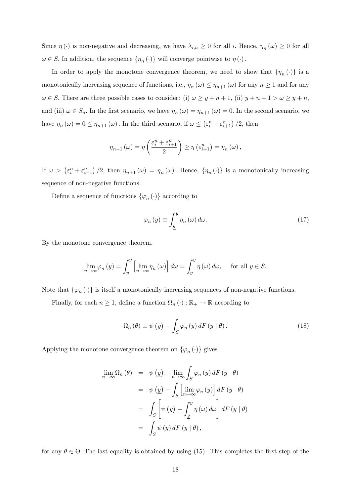Since  $\eta(\cdot)$  is non-negative and decreasing, we have  $\lambda_{i,n} \geq 0$  for all i. Hence,  $\eta_n(\omega) \geq 0$  for all  $\omega \in S$ . In addition, the sequence  $\{\eta_n(\cdot)\}\$  will converge pointwise to  $\eta(\cdot)$ .

In order to apply the monotone convergence theorem, we need to show that  $\{\eta_n(\cdot)\}\$ is a monotonically increasing sequence of functions, i.e.,  $\eta_n(\omega) \leq \eta_{n+1}(\omega)$  for any  $n \geq 1$  and for any  $\omega \in S$ . There are three possible cases to consider: (i)  $\omega \ge \underline{y} + n + 1$ , (ii)  $\underline{y} + n + 1 > \omega \ge \underline{y} + n$ , and (iii)  $\omega \in S_n$ . In the first scenario, we have  $\eta_n(\omega) = \eta_{n+1}(\omega) = 0$ . In the second scenario, we have  $\eta_n(\omega) = 0 \leq \eta_{n+1}(\omega)$ . In the third scenario, if  $\omega \leq (\varepsilon_i^n + \varepsilon_{i+1}^n)/2$ , then

$$
\eta_{n+1}(\omega) = \eta \left( \frac{\varepsilon_i^n + \varepsilon_{i+1}^n}{2} \right) \ge \eta \left( \varepsilon_{i+1}^n \right) = \eta_n(\omega),
$$

If  $\omega > (\varepsilon_i^n + \varepsilon_{i+1}^n)/2$ , then  $\eta_{n+1}(\omega) = \eta_n(\omega)$ . Hence,  $\{\eta_n(\cdot)\}\$ is a monotonically increasing sequence of non-negative functions.

Define a sequence of functions  $\{\varphi_n(\cdot)\}\)$  according to

$$
\varphi_n(y) \equiv \int_{\underline{y}}^y \eta_n(\omega) \, d\omega. \tag{17}
$$

By the monotone convergence theorem,

$$
\lim_{n \to \infty} \varphi_n \left( y \right) = \int_{\underline{y}}^y \left[ \lim_{n \to \infty} \eta_n \left( \omega \right) \right] d\omega = \int_{\underline{y}}^y \eta \left( \omega \right) d\omega, \quad \text{ for all } y \in S.
$$

Note that  $\{\varphi_n(\cdot)\}\$ is itself a monotonically increasing sequences of non-negative functions.

Finally, for each  $n \geq 1$ , define a function  $\Omega_n(\cdot) : \mathbb{R}_+ \to \mathbb{R}$  according to

$$
\Omega_n(\theta) \equiv \psi\left(\underline{y}\right) - \int_S \varphi_n\left(y\right) dF\left(y \mid \theta\right). \tag{18}
$$

Applying the monotone convergence theorem on  $\{\varphi_n(\cdot)\}\$  gives

$$
\lim_{n \to \infty} \Omega_n (\theta) = \psi (y) - \lim_{n \to \infty} \int_S \varphi_n (y) dF (y | \theta)
$$
  

$$
= \psi (y) - \int_S \left[ \lim_{n \to \infty} \varphi_n (y) \right] dF (y | \theta)
$$
  

$$
= \int_S \left[ \psi (y) - \int_y^y \eta (\omega) d\omega \right] dF (y | \theta)
$$
  

$$
= \int_S \psi (y) dF (y | \theta),
$$

for any  $\theta \in \Theta$ . The last equality is obtained by using (15). This completes the first step of the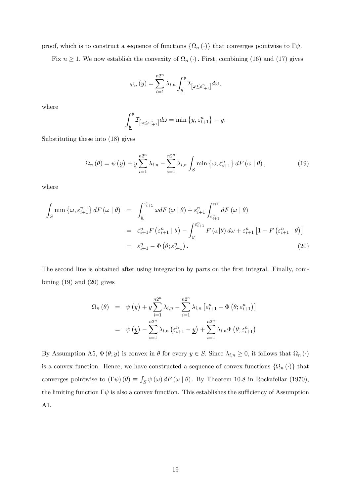proof, which is to construct a sequence of functions  $\{\Omega_n(\cdot)\}\$  that converges pointwise to  $\Gamma\psi$ .

Fix  $n \geq 1$ . We now establish the convexity of  $\Omega_n(\cdot)$ . First, combining (16) and (17) gives

$$
\varphi_n(y) = \sum_{i=1}^{n2^n} \lambda_{i,n} \int_{\underline{y}}^y \mathcal{I}_{\left[\omega \le \varepsilon_{i+1}^n\right]} d\omega,
$$

where

$$
\int_{\underline{y}}^y \mathcal{I}_{\left[\omega \le \varepsilon_{i+1}^n\right]} d\omega = \min\left\{y, \varepsilon_{i+1}^n\right\} - \underline{y}.
$$

Substituting these into (18) gives

$$
\Omega_n(\theta) = \psi\left(\underline{y}\right) + \underline{y} \sum_{i=1}^{n2^n} \lambda_{i,n} - \sum_{i=1}^{n2^n} \lambda_{i,n} \int_S \min\left\{\omega, \varepsilon_{i+1}^n\right\} dF\left(\omega \mid \theta\right),\tag{19}
$$

where

$$
\int_{S} \min \left\{ \omega, \varepsilon_{i+1}^{n} \right\} dF \left( \omega \mid \theta \right) = \int_{\underline{y}}^{\varepsilon_{i+1}^{n}} \omega dF \left( \omega \mid \theta \right) + \varepsilon_{i+1}^{n} \int_{\varepsilon_{i+1}^{n}}^{\infty} dF \left( \omega \mid \theta \right)
$$
\n
$$
= \varepsilon_{i+1}^{n} F \left( \varepsilon_{i+1}^{n} \mid \theta \right) - \int_{\underline{y}}^{\varepsilon_{i+1}^{n}} F \left( \omega \mid \theta \right) d\omega + \varepsilon_{i+1}^{n} \left[ 1 - F \left( \varepsilon_{i+1}^{n} \mid \theta \right) \right]
$$
\n
$$
= \varepsilon_{i+1}^{n} - \Phi \left( \theta; \varepsilon_{i+1}^{n} \right). \tag{20}
$$

The second line is obtained after using integration by parts on the first integral. Finally, combining  $(19)$  and  $(20)$  gives

$$
\Omega_n(\theta) = \psi(\underline{y}) + \underline{y} \sum_{i=1}^{n2^n} \lambda_{i,n} - \sum_{i=1}^{n2^n} \lambda_{i,n} \left[ \varepsilon_{i+1}^n - \Phi(\theta; \varepsilon_{i+1}^n) \right]
$$

$$
= \psi(\underline{y}) - \sum_{i=1}^{n2^n} \lambda_{i,n} \left( \varepsilon_{i+1}^n - \underline{y} \right) + \sum_{i=1}^{n2^n} \lambda_{i,n} \Phi(\theta; \varepsilon_{i+1}^n).
$$

By Assumption A5,  $\Phi(\theta; y)$  is convex in  $\theta$  for every  $y \in S$ . Since  $\lambda_{i,n} \geq 0$ , it follows that  $\Omega_n(\cdot)$ is a convex function. Hence, we have constructed a sequence of convex functions  $\{\Omega_n(\cdot)\}\)$  that converges pointwise to  $(\Gamma \psi) (\theta) \equiv \int_S \psi (\omega) dF (\omega | \theta)$ . By Theorem 10.8 in Rockafellar (1970), the limiting function  $\Gamma \psi$  is also a convex function. This establishes the sufficiency of Assumption A1.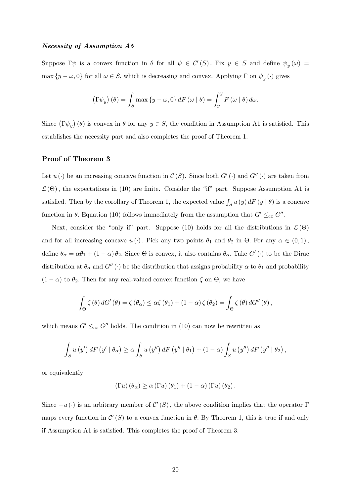#### Necessity of Assumption A5

Suppose  $\Gamma \psi$  is a convex function in  $\theta$  for all  $\psi \in C'(S)$ . Fix  $y \in S$  and define  $\psi_y(\omega) =$  $\max \{y - \omega, 0\}$  for all  $\omega \in S$ , which is decreasing and convex. Applying  $\Gamma$  on  $\psi_y(\cdot)$  gives

$$
\left(\Gamma\psi_y\right)(\theta) = \int_S \max\left\{y - \omega, 0\right\} dF\left(\omega \mid \theta\right) = \int_{\underline{y}}^y F\left(\omega \mid \theta\right) d\omega.
$$

Since  $(\Gamma \psi_y) (\theta)$  is convex in  $\theta$  for any  $y \in S$ , the condition in Assumption A1 is satisfied. This establishes the necessity part and also completes the proof of Theorem 1.

## Proof of Theorem 3

Let  $u(\cdot)$  be an increasing concave function in  $\mathcal{C}(S)$ . Since both  $G'(\cdot)$  and  $G''(\cdot)$  are taken from  $\mathcal{L}(\Theta)$ , the expectations in (10) are finite. Consider the "if" part. Suppose Assumption A1 is satisfied. Then by the corollary of Theorem 1, the expected value  $\int_S u(y) dF(y | \theta)$  is a concave function in  $\theta$ . Equation (10) follows immediately from the assumption that  $G' \leq_{cx} G''$ .

Next, consider the "only if" part. Suppose (10) holds for all the distributions in  $\mathcal{L}(\Theta)$ and for all increasing concave  $u(\cdot)$ . Pick any two points  $\theta_1$  and  $\theta_2$  in  $\Theta$ . For any  $\alpha \in (0,1)$ , define  $\theta_{\alpha} = \alpha \theta_1 + (1 - \alpha) \theta_2$ . Since  $\Theta$  is convex, it also contains  $\theta_{\alpha}$ . Take  $G'(\cdot)$  to be the Dirac distribution at  $\theta_{\alpha}$  and  $G''(\cdot)$  be the distribution that assigns probability  $\alpha$  to  $\theta_1$  and probability  $(1 - \alpha)$  to  $\theta_2$ . Then for any real-valued convex function  $\zeta$  on  $\Theta$ , we have

$$
\int_{\Theta} \zeta(\theta) dG'(\theta) = \zeta(\theta_{\alpha}) \leq \alpha \zeta(\theta_1) + (1 - \alpha) \zeta(\theta_2) = \int_{\Theta} \zeta(\theta) dG''(\theta),
$$

which means  $G' \leq_{cx} G''$  holds. The condition in (10) can now be rewritten as

$$
\int_{S} u(y') dF(y' | \theta_{\alpha}) \geq \alpha \int_{S} u(y'') dF(y'' | \theta_{1}) + (1 - \alpha) \int_{S} u(y'') dF(y'' | \theta_{2}),
$$

or equivalently

$$
(\Gamma u) (\theta_{\alpha}) \ge \alpha (\Gamma u) (\theta_1) + (1 - \alpha) (\Gamma u) (\theta_2).
$$

Since  $-u(\cdot)$  is an arbitrary member of  $\mathcal{C}'(S)$ , the above condition implies that the operator  $\Gamma$ maps every function in  $\mathcal{C}'(S)$  to a convex function in  $\theta$ . By Theorem 1, this is true if and only if Assumption A1 is satisfied. This completes the proof of Theorem 3.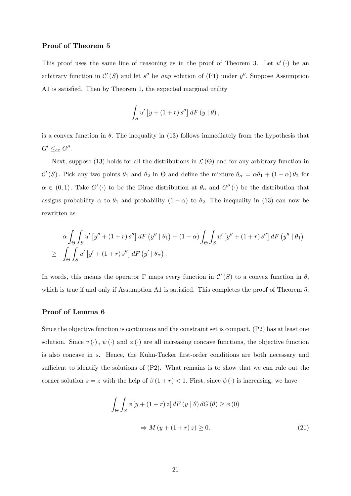#### Proof of Theorem 5

This proof uses the same line of reasoning as in the proof of Theorem 3. Let  $u'(\cdot)$  be an arbitrary function in  $\mathcal{C}'(S)$  and let s'' be any solution of (P1) under y''. Suppose Assumption A1 is satisfied. Then by Theorem 1, the expected marginal utility

$$
\int_{S} u' \left[ y + (1+r) s'' \right] dF \left( y \mid \theta \right),
$$

is a convex function in  $\theta$ . The inequality in (13) follows immediately from the hypothesis that  $G' \leq_{cx} G''$ .

Next, suppose (13) holds for all the distributions in  $\mathcal{L}(\Theta)$  and for any arbitrary function in  $\mathcal{C}'(S)$ . Pick any two points  $\theta_1$  and  $\theta_2$  in  $\Theta$  and define the mixture  $\theta_\alpha = \alpha \theta_1 + (1 - \alpha) \theta_2$  for  $\alpha \in (0,1)$ . Take  $G'(\cdot)$  to be the Dirac distribution at  $\theta_{\alpha}$  and  $G''(\cdot)$  be the distribution that assigns probability  $\alpha$  to  $\theta_1$  and probability  $(1 - \alpha)$  to  $\theta_2$ . The inequality in (13) can now be rewritten as

$$
\alpha \int_{\Theta} \int_{S} u' \left[ y'' + (1+r) s'' \right] dF \left( y'' \mid \theta_{1} \right) + (1-\alpha) \int_{\Theta} \int_{S} u' \left[ y'' + (1+r) s'' \right] dF \left( y'' \mid \theta_{1} \right)
$$
  
\n
$$
\geq \int_{\Theta} \int_{S} u' \left[ y' + (1+r) s'' \right] dF \left( y' \mid \theta_{\alpha} \right).
$$

In words, this means the operator  $\Gamma$  maps every function in  $\mathcal{C}'(S)$  to a convex function in  $\theta$ , which is true if and only if Assumption A1 is satisfied. This completes the proof of Theorem 5.

#### Proof of Lemma 6

Since the objective function is continuous and the constraint set is compact, (P2) has at least one solution. Since  $v(\cdot)$ ,  $\psi(\cdot)$  and  $\phi(\cdot)$  are all increasing concave functions, the objective function is also concave in s. Hence, the Kuhn-Tucker first-order conditions are both necessary and sufficient to identify the solutions of  $(P2)$ . What remains is to show that we can rule out the corner solution  $s = z$  with the help of  $\beta(1+r) < 1$ . First, since  $\phi(\cdot)$  is increasing, we have

$$
\int_{\Theta} \int_{S} \phi \left[ y + (1+r) z \right] dF \left( y \mid \theta \right) dG \left( \theta \right) \ge \phi \left( 0 \right)
$$
\n
$$
\Rightarrow M \left( y + (1+r) z \right) \ge 0. \tag{21}
$$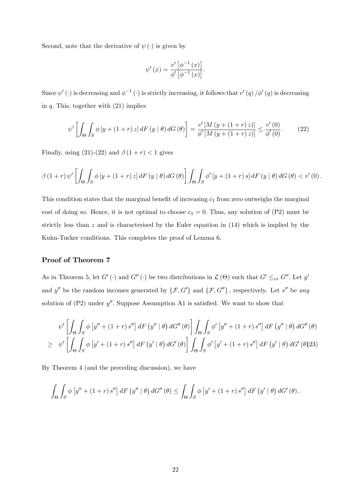Second, note that the derivative of  $\psi(\cdot)$  is given by

$$
\psi'(x) = \frac{v'\left[\phi^{-1}(x)\right]}{\phi'\left[\phi^{-1}(x)\right]}.
$$

Since  $\psi'(\cdot)$  is decreasing and  $\phi^{-1}(\cdot)$  is strictly increasing, it follows that  $v'(q)/\phi'(q)$  is decreasing in  $q$ . This, together with  $(21)$  implies

$$
\psi' \left[ \int_{\Theta} \int_{S} \phi \left[ y + (1+r) z \right] dF \left( y \mid \theta \right) dG \left( \theta \right) \right] = \frac{v' \left[ M \left( y + (1+r) z \right) \right]}{\phi' \left[ M \left( y + (1+r) z \right) \right]} \le \frac{v' \left( 0 \right)}{\phi' \left( 0 \right)}.
$$
\n(22)

Finally, using (21)-(22) and  $\beta(1+r) < 1$  gives

$$
\beta(1+r)\,\psi'\left[\int_{\Theta}\int_{S}\phi\left[y+(1+r)\,z\right]dF\left(y\mid\theta\right)dG\left(\theta\right)\right]\int_{\Theta}\int_{S}\phi'\left[y+(1+r)\,s\right]dF\left(y\mid\theta\right)dG\left(\theta\right)<\upsilon'\left(0\right).
$$

This condition states that the marginal benefit of increasing  $c_1$  from zero outweighs the marginal cost of doing so. Hence, it is not optimal to choose  $c_1 = 0$ . Thus, any solution of  $(P2)$  must be strictly less than  $z$  and is characterised by the Euler equation in  $(14)$  which is implied by the Kuhn-Tucker conditions. This completes the proof of Lemma 6.

## Proof of Theorem 7

As in Theorem 5, let  $G'(\cdot)$  and  $G''(\cdot)$  be two distributions in  $\mathcal{L}(\Theta)$  such that  $G' \leq_{cx} G''$ . Let  $y'$ and y'' be the random incomes generated by  $\{\mathcal{F}, G'\}$  and  $\{\mathcal{F}, G''\}$ , respectively. Let s'' be any solution of  $(P2)$  under  $y''$ . Suppose Assumption A1 is satisfied. We want to show that

$$
\psi' \left[ \int_{\Theta} \int_{S} \phi \left[ y'' + (1+r) s'' \right] dF \left( y'' \mid \theta \right) dG'' \left( \theta \right) \right] \int_{\Theta} \int_{S} \phi' \left[ y'' + (1+r) s'' \right] dF \left( y'' \mid \theta \right) dG'' \left( \theta \right)
$$
  
\n
$$
\geq \psi' \left[ \int_{\Theta} \int_{S} \phi \left[ y' + (1+r) s'' \right] dF \left( y' \mid \theta \right) dG' \left( \theta \right) \right] \int_{\Theta} \int_{S} \phi' \left[ y' + (1+r) s'' \right] dF \left( y' \mid \theta \right) dG' \left( \theta \right) 23
$$

By Theorem 4 (and the preceding discussion), we have

$$
\int_{\Theta} \int_{S} \phi \left[ y'' + (1+r) s'' \right] dF \left( y'' \mid \theta \right) dG'' \left( \theta \right) \leq \int_{\Theta} \int_{S} \phi \left[ y' + (1+r) s'' \right] dF \left( y' \mid \theta \right) dG' \left( \theta \right).
$$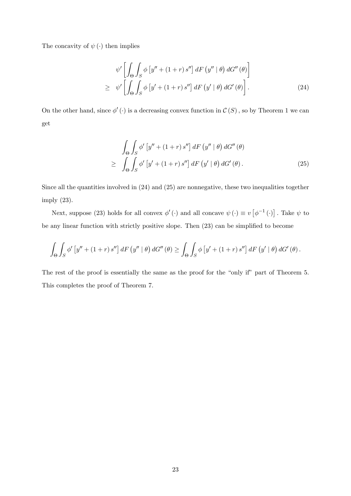The concavity of  $\psi(\cdot)$  then implies

$$
\psi' \left[ \int_{\Theta} \int_{S} \phi \left[ y'' + (1+r) s'' \right] dF \left( y'' \mid \theta \right) dG'' \left( \theta \right) \right]
$$
  
\n
$$
\geq \psi' \left[ \int_{\Theta} \int_{S} \phi \left[ y' + (1+r) s'' \right] dF \left( y' \mid \theta \right) dG' \left( \theta \right) \right].
$$
 (24)

On the other hand, since  $\phi'(\cdot)$  is a decreasing convex function in  $\mathcal{C}(S)$ , so by Theorem 1 we can get

$$
\int_{\Theta} \int_{S} \phi' \left[ y'' + (1+r) s'' \right] dF \left( y'' \mid \theta \right) dG'' \left( \theta \right)
$$
\n
$$
\geq \int_{\Theta} \int_{S} \phi' \left[ y' + (1+r) s'' \right] dF \left( y' \mid \theta \right) dG' \left( \theta \right). \tag{25}
$$

Since all the quantities involved in (24) and (25) are nonnegative, these two inequalities together imply (23).

Next, suppose (23) holds for all convex  $\phi'(\cdot)$  and all concave  $\psi(\cdot) \equiv v \left[\phi^{-1}(\cdot)\right]$ . Take  $\psi$  to be any linear function with strictly positive slope. Then  $(23)$  can be simplified to become

$$
\int_{\Theta} \int_{S} \phi' \left[ y'' + (1+r) s'' \right] dF \left( y'' \mid \theta \right) dG'' \left( \theta \right) \ge \int_{\Theta} \int_{S} \phi \left[ y' + (1+r) s'' \right] dF \left( y' \mid \theta \right) dG' \left( \theta \right).
$$

The rest of the proof is essentially the same as the proof for the "only if" part of Theorem 5. This completes the proof of Theorem 7.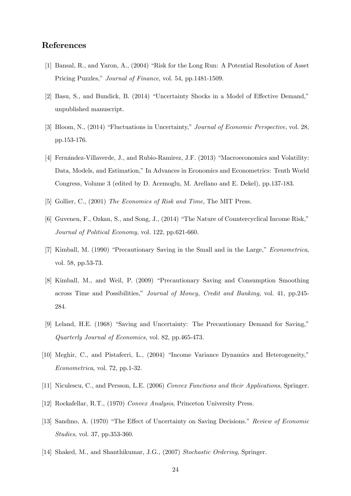# References

- [1] Bansal, R., and Yaron, A.,  $(2004)$  "Risk for the Long Run: A Potential Resolution of Asset Pricing Puzzles," *Journal of Finance*, vol. 54, pp.1481-1509.
- [2] Basu, S., and Bundick, B.  $(2014)$  "Uncertainty Shocks in a Model of Effective Demand," unpublished manuscript.
- [3] Bloom, N., (2014) "Fluctuations in Uncertainty," Journal of Economic Perspective, vol. 28, pp.153-176.
- [4] Fernández-Villaverde, J., and Rubio-Ramirez, J.F. (2013) "Macroeconomics and Volatility: Data, Models, and Estimation," In Advances in Economics and Econometrics: Tenth World Congress, Volume 3 (edited by D. Acemoglu, M. Arellano and E. Dekel), pp.137-183.
- [5] Gollier, C., (2001) The Economics of Risk and Time, The MIT Press.
- $[6]$  Guvenen, F., Ozkan, S., and Song, J.,  $(2014)$  "The Nature of Countercyclical Income Risk," Journal of Political Economy, vol. 122, pp.621-660.
- [7] Kimball, M. (1990) "Precautionary Saving in the Small and in the Large," Econometrica, vol. 58, pp.53-73.
- [8] Kimball, M., and Weil, P. (2009) "Precautionary Saving and Consumption Smoothing across Time and Possibilities," Journal of Money, Credit and Banking, vol. 41, pp. 245-284.
- [9] Leland, H.E. (1968) "Saving and Uncertainty: The Precautionary Demand for Saving," Quarterly Journal of Economics, vol. 82, pp.465-473.
- [10] Meghir, C., and Pistaferri, L., (2004) "Income Variance Dynamics and Heterogeneity," Econometrica, vol. 72, pp.1-32.
- [11] Niculescu, C., and Persson, L.E. (2006) Convex Functions and their Applications, Springer.
- [12] Rockafellar, R.T., (1970) Convex Analysis, Princeton University Press.
- [13] Sandmo, A. (1970) "The Effect of Uncertainty on Saving Decisions." Review of Economic Studies, vol. 37, pp.353-360.
- [14] Shaked, M., and Shanthikumar, J.G., (2007) Stochastic Ordering, Springer.